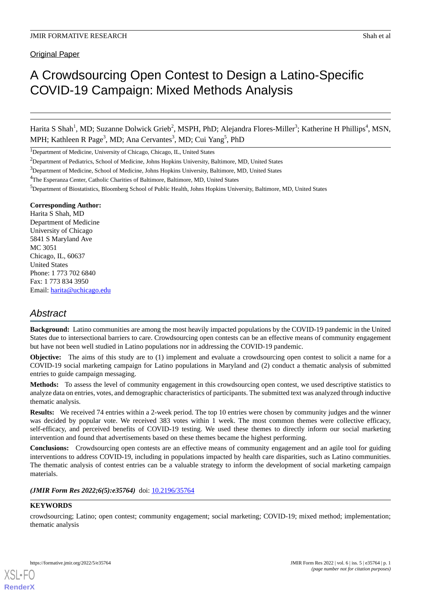Original Paper

# A Crowdsourcing Open Contest to Design a Latino-Specific COVID-19 Campaign: Mixed Methods Analysis

Harita S Shah<sup>1</sup>, MD; Suzanne Dolwick Grieb<sup>2</sup>, MSPH, PhD; Alejandra Flores-Miller<sup>3</sup>; Katherine H Phillips<sup>4</sup>, MSN, MPH; Kathleen R Page<sup>3</sup>, MD; Ana Cervantes<sup>3</sup>, MD; Cui Yang<sup>5</sup>, PhD

<sup>1</sup>Department of Medicine, University of Chicago, Chicago, IL, United States

 $3$ Department of Medicine, School of Medicine, Johns Hopkins University, Baltimore, MD, United States

<sup>5</sup>Department of Biostatistics, Bloomberg School of Public Health, Johns Hopkins University, Baltimore, MD, United States

#### **Corresponding Author:**

Harita S Shah, MD Department of Medicine University of Chicago 5841 S Maryland Ave MC 3051 Chicago, IL, 60637 United States Phone: 1 773 702 6840 Fax: 1 773 834 3950 Email: [harita@uchicago.edu](mailto:harita@uchicago.edu)

# *Abstract*

**Background:** Latino communities are among the most heavily impacted populations by the COVID-19 pandemic in the United States due to intersectional barriers to care. Crowdsourcing open contests can be an effective means of community engagement but have not been well studied in Latino populations nor in addressing the COVID-19 pandemic.

**Objective:** The aims of this study are to (1) implement and evaluate a crowdsourcing open contest to solicit a name for a COVID-19 social marketing campaign for Latino populations in Maryland and (2) conduct a thematic analysis of submitted entries to guide campaign messaging.

**Methods:** To assess the level of community engagement in this crowdsourcing open contest, we used descriptive statistics to analyze data on entries, votes, and demographic characteristics of participants. The submitted text was analyzed through inductive thematic analysis.

**Results:** We received 74 entries within a 2-week period. The top 10 entries were chosen by community judges and the winner was decided by popular vote. We received 383 votes within 1 week. The most common themes were collective efficacy, self-efficacy, and perceived benefits of COVID-19 testing. We used these themes to directly inform our social marketing intervention and found that advertisements based on these themes became the highest performing.

**Conclusions:** Crowdsourcing open contests are an effective means of community engagement and an agile tool for guiding interventions to address COVID-19, including in populations impacted by health care disparities, such as Latino communities. The thematic analysis of contest entries can be a valuable strategy to inform the development of social marketing campaign materials.

(JMIR Form Res 2022;6(5):e35764) doi: [10.2196/35764](http://dx.doi.org/10.2196/35764)

## **KEYWORDS**

[XSL](http://www.w3.org/Style/XSL)•FO **[RenderX](http://www.renderx.com/)**

crowdsourcing; Latino; open contest; community engagement; social marketing; COVID-19; mixed method; implementation; thematic analysis

<sup>&</sup>lt;sup>2</sup>Department of Pediatrics, School of Medicine, Johns Hopkins University, Baltimore, MD, United States

<sup>4</sup>The Esperanza Center, Catholic Charities of Baltimore, Baltimore, MD, United States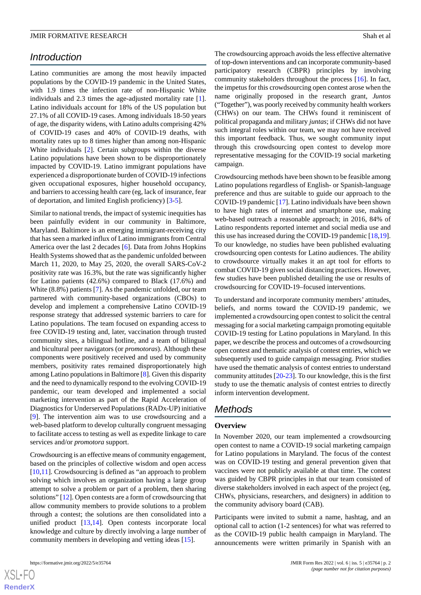# *Introduction*

Latino communities are among the most heavily impacted populations by the COVID-19 pandemic in the United States, with 1.9 times the infection rate of non-Hispanic White individuals and 2.3 times the age-adjusted mortality rate [[1\]](#page-6-0). Latino individuals account for 18% of the US population but 27.1% of all COVID-19 cases. Among individuals 18-50 years of age, the disparity widens, with Latino adults comprising 42% of COVID-19 cases and 40% of COVID-19 deaths, with mortality rates up to 8 times higher than among non-Hispanic White individuals [[2\]](#page-7-0). Certain subgroups within the diverse Latino populations have been shown to be disproportionately impacted by COVID-19. Latino immigrant populations have experienced a disproportionate burden of COVID-19 infections given occupational exposures, higher household occupancy, and barriers to accessing health care (eg, lack of insurance, fear of deportation, and limited English proficiency) [\[3](#page-7-1)[-5](#page-7-2)].

Similar to national trends, the impact of systemic inequities has been painfully evident in our community in Baltimore, Maryland. Baltimore is an emerging immigrant-receiving city that has seen a marked influx of Latino immigrants from Central America over the last 2 decades [[6\]](#page-7-3). Data from Johns Hopkins Health Systems showed that as the pandemic unfolded between March 11, 2020, to May 25, 2020, the overall SARS-CoV-2 positivity rate was 16.3%, but the rate was significantly higher for Latino patients (42.6%) compared to Black (17.6%) and White (8.8%) patients [\[7](#page-7-4)]. As the pandemic unfolded, our team partnered with community-based organizations (CBOs) to develop and implement a comprehensive Latino COVID-19 response strategy that addressed systemic barriers to care for Latino populations. The team focused on expanding access to free COVID-19 testing and, later, vaccination through trusted community sites, a bilingual hotline, and a team of bilingual and bicultural peer navigators (or *promotoras*). Although these components were positively received and used by community members, positivity rates remained disproportionately high among Latino populations in Baltimore [\[8](#page-7-5)]. Given this disparity and the need to dynamically respond to the evolving COVID-19 pandemic, our team developed and implemented a social marketing intervention as part of the Rapid Acceleration of Diagnostics for Underserved Populations (RADx-UP) initiative [[9\]](#page-7-6). The intervention aim was to use crowdsourcing and a web-based platform to develop culturally congruent messaging to facilitate access to testing as well as expedite linkage to care services and/or *promotora* support.

Crowdsourcing is an effective means of community engagement, based on the principles of collective wisdom and open access [[10](#page-7-7)[,11](#page-7-8)]. Crowdsourcing is defined as "an approach to problem solving which involves an organization having a large group attempt to solve a problem or part of a problem, then sharing solutions" [\[12](#page-7-9)]. Open contests are a form of crowdsourcing that allow community members to provide solutions to a problem through a contest; the solutions are then consolidated into a unified product [[13](#page-7-10)[,14](#page-7-11)]. Open contests incorporate local knowledge and culture by directly involving a large number of community members in developing and vetting ideas [\[15](#page-7-12)].

The crowdsourcing approach avoids the less effective alternative of top-down interventions and can incorporate community-based participatory research (CBPR) principles by involving community stakeholders throughout the process [[16\]](#page-7-13). In fact, the impetus for this crowdsourcing open contest arose when the name originally proposed in the research grant, *Juntos* ("Together"), was poorly received by community health workers (CHWs) on our team. The CHWs found it reminiscent of political propaganda and military *juntas*; if CHWs did not have such integral roles within our team, we may not have received this important feedback. Thus, we sought community input through this crowdsourcing open contest to develop more representative messaging for the COVID-19 social marketing campaign.

Crowdsourcing methods have been shown to be feasible among Latino populations regardless of English- or Spanish-language preference and thus are suitable to guide our approach to the COVID-19 pandemic [\[17](#page-7-14)]. Latino individuals have been shown to have high rates of internet and smartphone use, making web-based outreach a reasonable approach; in 2016, 84% of Latino respondents reported internet and social media use and this use has increased during the COVID-19 pandemic [\[18](#page-7-15),[19\]](#page-7-16). To our knowledge, no studies have been published evaluating crowdsourcing open contests for Latino audiences. The ability to crowdsource virtually makes it an apt tool for efforts to combat COVID-19 given social distancing practices. However, few studies have been published detailing the use or results of crowdsourcing for COVID-19–focused interventions.

To understand and incorporate community members' attitudes, beliefs, and norms toward the COVID-19 pandemic, we implemented a crowdsourcing open contest to solicit the central messaging for a social marketing campaign promoting equitable COVID-19 testing for Latino populations in Maryland. In this paper, we describe the process and outcomes of a crowdsourcing open contest and thematic analysis of contest entries, which we subsequently used to guide campaign messaging. Prior studies have used the thematic analysis of contest entries to understand community attitudes [\[20](#page-7-17)-[23\]](#page-7-18). To our knowledge, this is the first study to use the thematic analysis of contest entries to directly inform intervention development.

# *Methods*

## **Overview**

In November 2020, our team implemented a crowdsourcing open contest to name a COVID-19 social marketing campaign for Latino populations in Maryland. The focus of the contest was on COVID-19 testing and general prevention given that vaccines were not publicly available at that time. The contest was guided by CBPR principles in that our team consisted of diverse stakeholders involved in each aspect of the project (eg, CHWs, physicians, researchers, and designers) in addition to the community advisory board (CAB).

Participants were invited to submit a name, hashtag, and an optional call to action (1-2 sentences) for what was referred to as the COVID-19 public health campaign in Maryland. The announcements were written primarily in Spanish with an

 $XS$  • FC **[RenderX](http://www.renderx.com/)**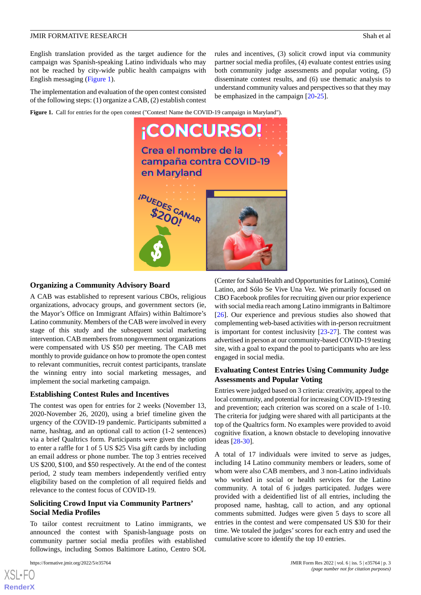English translation provided as the target audience for the campaign was Spanish-speaking Latino individuals who may not be reached by city-wide public health campaigns with English messaging ([Figure 1](#page-2-0)).

<span id="page-2-0"></span>The implementation and evaluation of the open contest consisted of the following steps: (1) organize a CAB, (2) establish contest

Figure 1. Call for entries for the open contest ("Contest! Name the COVID-19 campaign in Maryland").



# **Organizing a Community Advisory Board**

A CAB was established to represent various CBOs, religious organizations, advocacy groups, and government sectors (ie, the Mayor's Office on Immigrant Affairs) within Baltimore's Latino community. Members of the CAB were involved in every stage of this study and the subsequent social marketing intervention. CAB members from nongovernment organizations were compensated with US \$50 per meeting. The CAB met monthly to provide guidance on how to promote the open contest to relevant communities, recruit contest participants, translate the winning entry into social marketing messages, and implement the social marketing campaign.

## **Establishing Contest Rules and Incentives**

The contest was open for entries for 2 weeks (November 13, 2020-November 26, 2020), using a brief timeline given the urgency of the COVID-19 pandemic. Participants submitted a name, hashtag, and an optional call to action (1-2 sentences) via a brief Qualtrics form. Participants were given the option to enter a raffle for 1 of 5 US \$25 Visa gift cards by including an email address or phone number. The top 3 entries received US \$200, \$100, and \$50 respectively. At the end of the contest period, 2 study team members independently verified entry eligibility based on the completion of all required fields and relevance to the contest focus of COVID-19.

# **Soliciting Crowd Input via Community Partners' Social Media Profiles**

To tailor contest recruitment to Latino immigrants, we announced the contest with Spanish-language posts on community partner social media profiles with established followings, including Somos Baltimore Latino, Centro SOL

(Center for Salud/Health and Opportunities for Latinos), Comité Latino, and Sólo Se Vive Una Vez. We primarily focused on CBO Facebook profiles for recruiting given our prior experience with social media reach among Latino immigrants in Baltimore [[26\]](#page-8-1). Our experience and previous studies also showed that complementing web-based activities with in-person recruitment is important for contest inclusivity [\[23](#page-7-18)[-27](#page-8-2)]. The contest was advertised in person at our community-based COVID-19 testing site, with a goal to expand the pool to participants who are less engaged in social media.

rules and incentives, (3) solicit crowd input via community partner social media profiles, (4) evaluate contest entries using both community judge assessments and popular voting, (5) disseminate contest results, and (6) use thematic analysis to understand community values and perspectives so that they may

be emphasized in the campaign [[20](#page-7-17)[-25](#page-8-0)].

## **Evaluating Contest Entries Using Community Judge Assessments and Popular Voting**

Entries were judged based on 3 criteria: creativity, appeal to the local community, and potential for increasing COVID-19 testing and prevention; each criterion was scored on a scale of 1-10. The criteria for judging were shared with all participants at the top of the Qualtrics form. No examples were provided to avoid cognitive fixation, a known obstacle to developing innovative ideas [\[28](#page-8-3)[-30](#page-8-4)].

A total of 17 individuals were invited to serve as judges, including 14 Latino community members or leaders, some of whom were also CAB members, and 3 non-Latino individuals who worked in social or health services for the Latino community. A total of 6 judges participated. Judges were provided with a deidentified list of all entries, including the proposed name, hashtag, call to action, and any optional comments submitted. Judges were given 5 days to score all entries in the contest and were compensated US \$30 for their time. We totaled the judges'scores for each entry and used the cumulative score to identify the top 10 entries.

```
XSL•FO
RenderX
```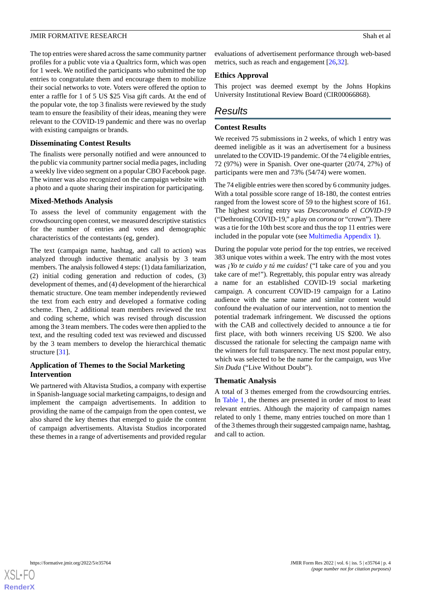The top entries were shared across the same community partner profiles for a public vote via a Qualtrics form, which was open for 1 week. We notified the participants who submitted the top entries to congratulate them and encourage them to mobilize their social networks to vote. Voters were offered the option to enter a raffle for 1 of 5 US \$25 Visa gift cards. At the end of the popular vote, the top 3 finalists were reviewed by the study team to ensure the feasibility of their ideas, meaning they were relevant to the COVID-19 pandemic and there was no overlap with existing campaigns or brands.

## **Disseminating Contest Results**

The finalists were personally notified and were announced to the public via community partner social media pages, including a weekly live video segment on a popular CBO Facebook page. The winner was also recognized on the campaign website with a photo and a quote sharing their inspiration for participating.

# **Mixed-Methods Analysis**

To assess the level of community engagement with the crowdsourcing open contest, we measured descriptive statistics for the number of entries and votes and demographic characteristics of the contestants (eg, gender).

The text (campaign name, hashtag, and call to action) was analyzed through inductive thematic analysis by 3 team members. The analysis followed 4 steps: (1) data familiarization, (2) initial coding generation and reduction of codes, (3) development of themes, and (4) development of the hierarchical thematic structure. One team member independently reviewed the text from each entry and developed a formative coding scheme. Then, 2 additional team members reviewed the text and coding scheme, which was revised through discussion among the 3 team members. The codes were then applied to the text, and the resulting coded text was reviewed and discussed by the 3 team members to develop the hierarchical thematic structure [\[31](#page-8-5)].

# **Application of Themes to the Social Marketing Intervention**

We partnered with Altavista Studios, a company with expertise in Spanish-language social marketing campaigns, to design and implement the campaign advertisements. In addition to providing the name of the campaign from the open contest, we also shared the key themes that emerged to guide the content of campaign advertisements. Altavista Studios incorporated these themes in a range of advertisements and provided regular

evaluations of advertisement performance through web-based metrics, such as reach and engagement [[26](#page-8-1)[,32](#page-8-6)].

# **Ethics Approval**

This project was deemed exempt by the Johns Hopkins University Institutional Review Board (CIR00066868).

# *Results*

# **Contest Results**

We received 75 submissions in 2 weeks, of which 1 entry was deemed ineligible as it was an advertisement for a business unrelated to the COVID-19 pandemic. Of the 74 eligible entries, 72 (97%) were in Spanish. Over one-quarter (20/74, 27%) of participants were men and 73% (54/74) were women.

The 74 eligible entries were then scored by 6 community judges. With a total possible score range of 18-180, the contest entries ranged from the lowest score of 59 to the highest score of 161. The highest scoring entry was *Descoronando el COVID-19* ("Dethroning COVID-19," a play on *corona* or "crown"). There was a tie for the 10th best score and thus the top 11 entries were included in the popular vote (see [Multimedia Appendix 1\)](#page-6-1).

During the popular vote period for the top entries, we received 383 unique votes within a week. The entry with the most votes was *¡Yo te cuido y tú me cuidas!* ("I take care of you and you take care of me!"). Regrettably, this popular entry was already a name for an established COVID-19 social marketing campaign. A concurrent COVID-19 campaign for a Latino audience with the same name and similar content would confound the evaluation of our intervention, not to mention the potential trademark infringement. We discussed the options with the CAB and collectively decided to announce a tie for first place, with both winners receiving US \$200. We also discussed the rationale for selecting the campaign name with the winners for full transparency. The next most popular entry, which was selected to be the name for the campaign, *was Vive Sin Duda* ("Live Without Doubt").

## **Thematic Analysis**

A total of 3 themes emerged from the crowdsourcing entries. In [Table 1](#page-4-0), the themes are presented in order of most to least relevant entries. Although the majority of campaign names related to only 1 theme, many entries touched on more than 1 of the 3 themes through their suggested campaign name, hashtag, and call to action.

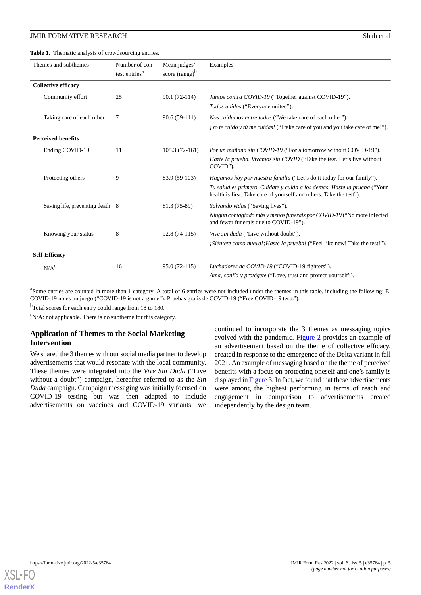## **JMIR FORMATIVE RESEARCH** Shah et al. **Shah et al.** Shah et al.

<span id="page-4-0"></span>**Table 1.** Thematic analysis of crowdsourcing entries.

| Themes and subthemes            | Number of con-<br>test entries <sup>a</sup> | Mean judges'<br>score $(range)^{b}$ | Examples                                                                                                                                                                                                                        |
|---------------------------------|---------------------------------------------|-------------------------------------|---------------------------------------------------------------------------------------------------------------------------------------------------------------------------------------------------------------------------------|
| <b>Collective efficacy</b>      |                                             |                                     |                                                                                                                                                                                                                                 |
| Community effort                | 25                                          | $90.1(72-114)$                      | Juntos contra COVID-19 ("Together against COVID-19").<br>Todos unidos ("Everyone united").                                                                                                                                      |
| Taking care of each other       | 7                                           | $90.6(59-111)$                      | <i>Nos cuidamos entre todos</i> ("We take care of each other").<br><i>¡Yo te cuido y tú me cuidas!</i> ("I take care of you and you take care of me!").                                                                         |
| <b>Perceived benefits</b>       |                                             |                                     |                                                                                                                                                                                                                                 |
| Ending COVID-19                 | 11                                          | $105.3(72-161)$                     | Por un mañana sin COVID-19 ("For a tomorrow without COVID-19").<br>Hazte la prueba. Vivamos sin COVID ("Take the test. Let's live without<br>COVID").                                                                           |
| Protecting others               | 9                                           | 83.9 (59-103)                       | <i>Hagamos hoy por nuestra familia</i> ("Let's do it today for our family").<br>Tu salud es primero. Cuidate y cuida a los demás. Haste la prueba ("Your<br>health is first. Take care of yourself and others. Take the test"). |
| Saving life, preventing death 8 |                                             | 81.3 (75-89)                        | Salvando vidas ("Saving lives").<br>Ningún contagiado más y menos funerals por COVID-19 ("No more infected<br>and fewer funerals due to COVID-19").                                                                             |
| Knowing your status             | 8                                           | 92.8 (74-115)                       | Vive sin duda ("Live without doubt").<br>¡Siéntete como nueva! ¡Haste la prueba! ("Feel like new! Take the test!").                                                                                                             |
| <b>Self-Efficacy</b>            |                                             |                                     |                                                                                                                                                                                                                                 |
| N/A <sup>c</sup>                | 16                                          | $95.0(72-115)$                      | Luchadores de COVID-19 ("COVID-19 fighters").<br>Ama, confía y protégete ("Love, trust and protect yourself").                                                                                                                  |

<sup>a</sup>Some entries are counted in more than 1 category. A total of 6 entries were not included under the themes in this table, including the following: El COVID-19 no es un juego ("COVID-19 is not a game"), Pruebas gratis de COVID-19 ("Free COVID-19 tests").

<sup>b</sup>Total scores for each entry could range from 18 to 180.

 $\text{c}_{N/A}$ : not applicable. There is no subtheme for this category.

# **Application of Themes to the Social Marketing Intervention**

We shared the 3 themes with our social media partner to develop advertisements that would resonate with the local community. These themes were integrated into the *Vive Sin Duda* ("Live without a doubt") campaign, hereafter referred to as the *Sin Duda* campaign. Campaign messaging was initially focused on COVID-19 testing but was then adapted to include advertisements on vaccines and COVID-19 variants; we

continued to incorporate the 3 themes as messaging topics evolved with the pandemic. [Figure 2](#page-5-0) provides an example of an advertisement based on the theme of collective efficacy, created in response to the emergence of the Delta variant in fall 2021. An example of messaging based on the theme of perceived benefits with a focus on protecting oneself and one's family is displayed in [Figure 3.](#page-5-1) In fact, we found that these advertisements were among the highest performing in terms of reach and engagement in comparison to advertisements created independently by the design team.

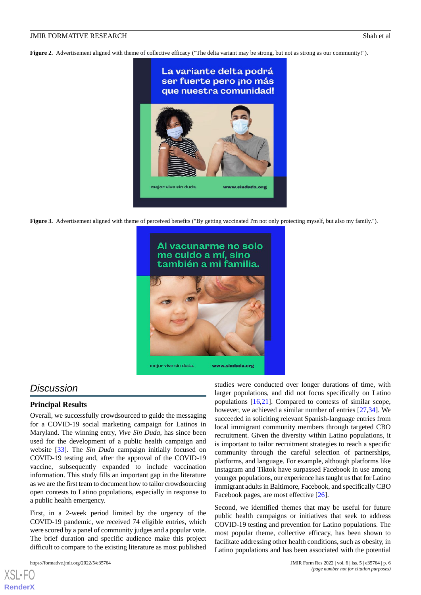<span id="page-5-0"></span>**Figure 2.** Advertisement aligned with theme of collective efficacy ("The delta variant may be strong, but not as strong as our community!").



<span id="page-5-1"></span>**Figure 3.** Advertisement aligned with theme of perceived benefits ("By getting vaccinated I'm not only protecting myself, but also my family.").



# *Discussion*

## **Principal Results**

Overall, we successfully crowdsourced to guide the messaging for a COVID-19 social marketing campaign for Latinos in Maryland. The winning entry, *Vive Sin Duda*, has since been used for the development of a public health campaign and website [\[33](#page-8-7)]. The *Sin Duda* campaign initially focused on COVID-19 testing and, after the approval of the COVID-19 vaccine, subsequently expanded to include vaccination information. This study fills an important gap in the literature as we are the first team to document how to tailor crowdsourcing open contests to Latino populations, especially in response to a public health emergency.

First, in a 2-week period limited by the urgency of the COVID-19 pandemic, we received 74 eligible entries, which were scored by a panel of community judges and a popular vote. The brief duration and specific audience make this project difficult to compare to the existing literature as most published

[XSL](http://www.w3.org/Style/XSL)•FO **[RenderX](http://www.renderx.com/)**

studies were conducted over longer durations of time, with larger populations, and did not focus specifically on Latino populations [[16,](#page-7-13)[21](#page-7-19)]. Compared to contests of similar scope, however, we achieved a similar number of entries [[27,](#page-8-2)[34](#page-8-8)]. We succeeded in soliciting relevant Spanish-language entries from local immigrant community members through targeted CBO recruitment. Given the diversity within Latino populations, it is important to tailor recruitment strategies to reach a specific community through the careful selection of partnerships, platforms, and language. For example, although platforms like Instagram and Tiktok have surpassed Facebook in use among younger populations, our experience has taught us that for Latino immigrant adults in Baltimore, Facebook, and specifically CBO Facebook pages, are most effective [[26\]](#page-8-1).

Second, we identified themes that may be useful for future public health campaigns or initiatives that seek to address COVID-19 testing and prevention for Latino populations. The most popular theme, collective efficacy, has been shown to facilitate addressing other health conditions, such as obesity, in Latino populations and has been associated with the potential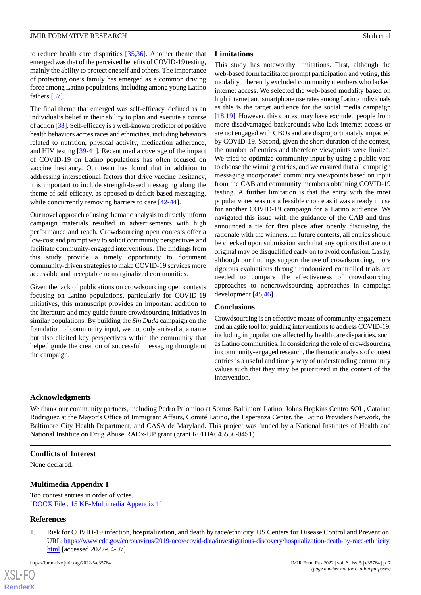to reduce health care disparities [\[35](#page-8-9),[36\]](#page-8-10). Another theme that emerged was that of the perceived benefits of COVID-19 testing, mainly the ability to protect oneself and others. The importance of protecting one's family has emerged as a common driving force among Latino populations, including among young Latino fathers [[37\]](#page-8-11).

The final theme that emerged was self-efficacy, defined as an individual's belief in their ability to plan and execute a course of action [[38](#page-8-12)]. Self-efficacy is a well-known predictor of positive health behaviors across races and ethnicities, including behaviors related to nutrition, physical activity, medication adherence, and HIV testing [\[39](#page-8-13)[-41](#page-8-14)]. Recent media coverage of the impact of COVID-19 on Latino populations has often focused on vaccine hesitancy. Our team has found that in addition to addressing intersectional factors that drive vaccine hesitancy, it is important to include strength-based messaging along the theme of self-efficacy, as opposed to deficit-based messaging, while concurrently removing barriers to care  $[42-44]$  $[42-44]$  $[42-44]$  $[42-44]$ .

Our novel approach of using thematic analysis to directly inform campaign materials resulted in advertisements with high performance and reach. Crowdsourcing open contests offer a low-cost and prompt way to solicit community perspectives and facilitate community-engaged interventions. The findings from this study provide a timely opportunity to document community-driven strategies to make COVID-19 services more accessible and acceptable to marginalized communities.

Given the lack of publications on crowdsourcing open contests focusing on Latino populations, particularly for COVID-19 initiatives, this manuscript provides an important addition to the literature and may guide future crowdsourcing initiatives in similar populations. By building the *Sin Duda* campaign on the foundation of community input, we not only arrived at a name but also elicited key perspectives within the community that helped guide the creation of successful messaging throughout the campaign.

# **Limitations**

This study has noteworthy limitations. First, although the web-based form facilitated prompt participation and voting, this modality inherently excluded community members who lacked internet access. We selected the web-based modality based on high internet and smartphone use rates among Latino individuals as this is the target audience for the social media campaign [[18,](#page-7-15)[19\]](#page-7-16). However, this contest may have excluded people from more disadvantaged backgrounds who lack internet access or are not engaged with CBOs and are disproportionately impacted by COVID-19. Second, given the short duration of the contest, the number of entries and therefore viewpoints were limited. We tried to optimize community input by using a public vote to choose the winning entries, and we ensured that all campaign messaging incorporated community viewpoints based on input from the CAB and community members obtaining COVID-19 testing. A further limitation is that the entry with the most popular votes was not a feasible choice as it was already in use for another COVID-19 campaign for a Latino audience. We navigated this issue with the guidance of the CAB and thus announced a tie for first place after openly discussing the rationale with the winners. In future contests, all entries should be checked upon submission such that any options that are not original may be disqualified early on to avoid confusion. Lastly, although our findings support the use of crowdsourcing, more rigorous evaluations through randomized controlled trials are needed to compare the effectiveness of crowdsourcing approaches to noncrowdsourcing approaches in campaign development [[45,](#page-8-17)[46](#page-8-18)].

# **Conclusions**

Crowdsourcing is an effective means of community engagement and an agile tool for guiding interventions to address COVID-19, including in populations affected by health care disparities, such as Latino communities. In considering the role of crowdsourcing in community-engaged research, the thematic analysis of contest entries is a useful and timely way of understanding community values such that they may be prioritized in the content of the intervention.

# **Acknowledgments**

We thank our community partners, including Pedro Palomino at Somos Baltimore Latino, Johns Hopkins Centro SOL, Catalina Rodriguez at the Mayor's Office of Immigrant Affairs, Comité Latino, the Esperanza Center, the Latino Providers Network, the Baltimore City Health Department, and CASA de Maryland. This project was funded by a National Institutes of Health and National Institute on Drug Abuse RADx-UP grant (grant R01DA045556-04S1)

## <span id="page-6-1"></span>**Conflicts of Interest**

None declared.

## <span id="page-6-0"></span>**Multimedia Appendix 1**

Top contest entries in order of votes. [[DOCX File , 15 KB](https://jmir.org/api/download?alt_name=formative_v6i5e35764_app1.docx&filename=ab38d32a922ef3f619e20b8281fdfb58.docx)-[Multimedia Appendix 1\]](https://jmir.org/api/download?alt_name=formative_v6i5e35764_app1.docx&filename=ab38d32a922ef3f619e20b8281fdfb58.docx)

## **References**

[XSL](http://www.w3.org/Style/XSL)•FO **[RenderX](http://www.renderx.com/)**

1. Risk for COVID-19 infection, hospitalization, and death by race/ethnicity. US Centers for Disease Control and Prevention. URL: [https://www.cdc.gov/coronavirus/2019-ncov/covid-data/investigations-discovery/hospitalization-death-by-race-ethnicity.](https://www.cdc.gov/coronavirus/2019-ncov/covid-data/investigations-discovery/hospitalization-death-by-race-ethnicity.html) [html](https://www.cdc.gov/coronavirus/2019-ncov/covid-data/investigations-discovery/hospitalization-death-by-race-ethnicity.html) [accessed 2022-04-07]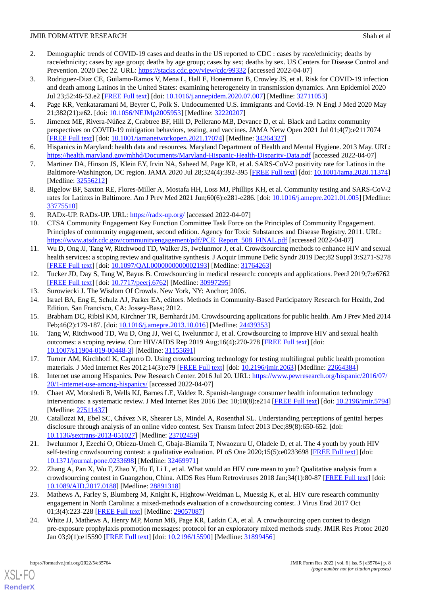# **JMIR FORMATIVE RESEARCH** Shah et al. **Shah et al.** Shah et al.

- <span id="page-7-0"></span>2. Demographic trends of COVID-19 cases and deaths in the US reported to CDC : cases by race/ethnicity; deaths by race/ethnicity; cases by age group; deaths by age group; cases by sex; deaths by sex. US Centers for Disease Control and Prevention. 2020 Dec 22. URL: <https://stacks.cdc.gov/view/cdc/99332> [accessed 2022-04-07]
- <span id="page-7-1"></span>3. Rodriguez-Diaz CE, Guilamo-Ramos V, Mena L, Hall E, Honermann B, Crowley JS, et al. Risk for COVID-19 infection and death among Latinos in the United States: examining heterogeneity in transmission dynamics. Ann Epidemiol 2020 Jul 23;52:46-53.e2 [\[FREE Full text\]](http://europepmc.org/abstract/MED/32711053) [doi: [10.1016/j.annepidem.2020.07.007\]](http://dx.doi.org/10.1016/j.annepidem.2020.07.007) [Medline: [32711053\]](http://www.ncbi.nlm.nih.gov/entrez/query.fcgi?cmd=Retrieve&db=PubMed&list_uids=32711053&dopt=Abstract)
- <span id="page-7-2"></span>4. Page KR, Venkataramani M, Beyrer C, Polk S. Undocumented U.S. immigrants and Covid-19. N Engl J Med 2020 May 21;382(21):e62. [doi: [10.1056/NEJMp2005953\]](http://dx.doi.org/10.1056/NEJMp2005953) [Medline: [32220207\]](http://www.ncbi.nlm.nih.gov/entrez/query.fcgi?cmd=Retrieve&db=PubMed&list_uids=32220207&dopt=Abstract)
- <span id="page-7-3"></span>5. Jimenez ME, Rivera-Núñez Z, Crabtree BF, Hill D, Pellerano MB, Devance D, et al. Black and Latinx community perspectives on COVID-19 mitigation behaviors, testing, and vaccines. JAMA Netw Open 2021 Jul 01;4(7):e2117074 [[FREE Full text](https://jamanetwork.com/journals/jamanetworkopen/fullarticle/10.1001/jamanetworkopen.2021.17074)] [doi: [10.1001/jamanetworkopen.2021.17074](http://dx.doi.org/10.1001/jamanetworkopen.2021.17074)] [Medline: [34264327\]](http://www.ncbi.nlm.nih.gov/entrez/query.fcgi?cmd=Retrieve&db=PubMed&list_uids=34264327&dopt=Abstract)
- <span id="page-7-4"></span>6. Hispanics in Maryland: health data and resources. Maryland Department of Health and Mental Hygiene. 2013 May. URL: <https://health.maryland.gov/mhhd/Documents/Maryland-Hispanic-Health-Disparity-Data.pdf> [accessed 2022-04-07]
- <span id="page-7-5"></span>7. Martinez DA, Hinson JS, Klein EY, Irvin NA, Saheed M, Page KR, et al. SARS-CoV-2 positivity rate for Latinos in the Baltimore-Washington, DC region. JAMA 2020 Jul 28;324(4):392-395 [\[FREE Full text\]](http://europepmc.org/abstract/MED/32556212) [doi: [10.1001/jama.2020.11374\]](http://dx.doi.org/10.1001/jama.2020.11374) [Medline: [32556212](http://www.ncbi.nlm.nih.gov/entrez/query.fcgi?cmd=Retrieve&db=PubMed&list_uids=32556212&dopt=Abstract)]
- <span id="page-7-7"></span><span id="page-7-6"></span>8. Bigelow BF, Saxton RE, Flores-Miller A, Mostafa HH, Loss MJ, Phillips KH, et al. Community testing and SARS-CoV-2 rates for Latinxs in Baltimore. Am J Prev Med 2021 Jun;60(6):e281-e286. [doi: [10.1016/j.amepre.2021.01.005\]](http://dx.doi.org/10.1016/j.amepre.2021.01.005) [Medline: [33775510](http://www.ncbi.nlm.nih.gov/entrez/query.fcgi?cmd=Retrieve&db=PubMed&list_uids=33775510&dopt=Abstract)]
- 9. RADx-UP. RADx-UP. URL:<https://radx-up.org/> [accessed 2022-04-07]
- <span id="page-7-8"></span>10. CTSA Community Engagement Key Function Committee Task Force on the Principles of Community Engagement. Principles of community engagement, second edition. Agency for Toxic Substances and Disease Registry. 2011. URL: [https://www.atsdr.cdc.gov/communityengagement/pdf/PCE\\_Report\\_508\\_FINAL.pdf](https://www.atsdr.cdc.gov/communityengagement/pdf/PCE_Report_508_FINAL.pdf) [accessed 2022-04-07]
- <span id="page-7-9"></span>11. Wu D, Ong JJ, Tang W, Ritchwood TD, Walker JS, Iwelunmor J, et al. Crowdsourcing methods to enhance HIV and sexual health services: a scoping review and qualitative synthesis. J Acquir Immune Defic Syndr 2019 Dec;82 Suppl 3:S271-S278 [[FREE Full text](http://europepmc.org/abstract/MED/31764263)] [doi: [10.1097/QAI.0000000000002193](http://dx.doi.org/10.1097/QAI.0000000000002193)] [Medline: [31764263\]](http://www.ncbi.nlm.nih.gov/entrez/query.fcgi?cmd=Retrieve&db=PubMed&list_uids=31764263&dopt=Abstract)
- <span id="page-7-11"></span><span id="page-7-10"></span>12. Tucker JD, Day S, Tang W, Bayus B. Crowdsourcing in medical research: concepts and applications. PeerJ 2019;7:e6762 [[FREE Full text](https://doi.org/10.7717/peerj.6762)] [doi: [10.7717/peerj.6762](http://dx.doi.org/10.7717/peerj.6762)] [Medline: [30997295](http://www.ncbi.nlm.nih.gov/entrez/query.fcgi?cmd=Retrieve&db=PubMed&list_uids=30997295&dopt=Abstract)]
- <span id="page-7-12"></span>13. Surowiecki J. The Wisdom Of Crowds. New York, NY: Anchor; 2005.
- <span id="page-7-13"></span>14. Israel BA, Eng E, Schulz AJ, Parker EA, editors. Methods in Community-Based Participatory Research for Health, 2nd Edition. San Francisco, CA: Jossey-Bass; 2012.
- <span id="page-7-14"></span>15. Brabham DC, Ribisl KM, Kirchner TR, Bernhardt JM. Crowdsourcing applications for public health. Am J Prev Med 2014 Feb;46(2):179-187. [doi: [10.1016/j.amepre.2013.10.016\]](http://dx.doi.org/10.1016/j.amepre.2013.10.016) [Medline: [24439353\]](http://www.ncbi.nlm.nih.gov/entrez/query.fcgi?cmd=Retrieve&db=PubMed&list_uids=24439353&dopt=Abstract)
- <span id="page-7-15"></span>16. Tang W, Ritchwood TD, Wu D, Ong JJ, Wei C, Iwelunmor J, et al. Crowdsourcing to improve HIV and sexual health outcomes: a scoping review. Curr HIV/AIDS Rep 2019 Aug;16(4):270-278 [[FREE Full text](http://europepmc.org/abstract/MED/31155691)] [doi: [10.1007/s11904-019-00448-3\]](http://dx.doi.org/10.1007/s11904-019-00448-3) [Medline: [31155691\]](http://www.ncbi.nlm.nih.gov/entrez/query.fcgi?cmd=Retrieve&db=PubMed&list_uids=31155691&dopt=Abstract)
- <span id="page-7-16"></span>17. Turner AM, Kirchhoff K, Capurro D. Using crowdsourcing technology for testing multilingual public health promotion materials. J Med Internet Res 2012;14(3):e79 [[FREE Full text](http://www.jmir.org/2012/3/e79/)] [doi: [10.2196/jmir.2063\]](http://dx.doi.org/10.2196/jmir.2063) [Medline: [22664384](http://www.ncbi.nlm.nih.gov/entrez/query.fcgi?cmd=Retrieve&db=PubMed&list_uids=22664384&dopt=Abstract)]
- <span id="page-7-17"></span>18. Internet use among Hispanics. Pew Research Center. 2016 Jul 20. URL: [https://www.pewresearch.org/hispanic/2016/07/](https://www.pewresearch.org/hispanic/2016/07/20/1-internet-use-among-hispanics/) [20/1-internet-use-among-hispanics/](https://www.pewresearch.org/hispanic/2016/07/20/1-internet-use-among-hispanics/) [accessed 2022-04-07]
- <span id="page-7-19"></span>19. Chaet AV, Morshedi B, Wells KJ, Barnes LE, Valdez R. Spanish-language consumer health information technology interventions: a systematic review. J Med Internet Res 2016 Dec 10;18(8):e214 [\[FREE Full text](http://www.jmir.org/2016/8/e214/)] [doi: [10.2196/jmir.5794](http://dx.doi.org/10.2196/jmir.5794)] [Medline: [27511437](http://www.ncbi.nlm.nih.gov/entrez/query.fcgi?cmd=Retrieve&db=PubMed&list_uids=27511437&dopt=Abstract)]
- 20. Catallozzi M, Ebel SC, Chávez NR, Shearer LS, Mindel A, Rosenthal SL. Understanding perceptions of genital herpes disclosure through analysis of an online video contest. Sex Transm Infect 2013 Dec;89(8):650-652. [doi: [10.1136/sextrans-2013-051027](http://dx.doi.org/10.1136/sextrans-2013-051027)] [Medline: [23702459\]](http://www.ncbi.nlm.nih.gov/entrez/query.fcgi?cmd=Retrieve&db=PubMed&list_uids=23702459&dopt=Abstract)
- <span id="page-7-18"></span>21. Iwelunmor J, Ezechi O, Obiezu-Umeh C, Gbaja-Biamila T, Nwaozuru U, Oladele D, et al. The 4 youth by youth HIV self-testing crowdsourcing contest: a qualitative evaluation. PLoS One 2020;15(5):e0233698 [\[FREE Full text\]](https://dx.plos.org/10.1371/journal.pone.0233698) [doi: [10.1371/journal.pone.0233698\]](http://dx.doi.org/10.1371/journal.pone.0233698) [Medline: [32469971](http://www.ncbi.nlm.nih.gov/entrez/query.fcgi?cmd=Retrieve&db=PubMed&list_uids=32469971&dopt=Abstract)]
- 22. Zhang A, Pan X, Wu F, Zhao Y, Hu F, Li L, et al. What would an HIV cure mean to you? Qualitative analysis from a crowdsourcing contest in Guangzhou, China. AIDS Res Hum Retroviruses 2018 Jan;34(1):80-87 [\[FREE Full text\]](http://europepmc.org/abstract/MED/28891318) [doi: [10.1089/AID.2017.0188\]](http://dx.doi.org/10.1089/AID.2017.0188) [Medline: [28891318](http://www.ncbi.nlm.nih.gov/entrez/query.fcgi?cmd=Retrieve&db=PubMed&list_uids=28891318&dopt=Abstract)]
- 23. Mathews A, Farley S, Blumberg M, Knight K, Hightow-Weidman L, Muessig K, et al. HIV cure research community engagement in North Carolina: a mixed-methods evaluation of a crowdsourcing contest. J Virus Erad 2017 Oct 01;3(4):223-228 [[FREE Full text](http://europepmc.org/abstract/MED/29057087)] [Medline: [29057087](http://www.ncbi.nlm.nih.gov/entrez/query.fcgi?cmd=Retrieve&db=PubMed&list_uids=29057087&dopt=Abstract)]
- 24. White JJ, Mathews A, Henry MP, Moran MB, Page KR, Latkin CA, et al. A crowdsourcing open contest to design pre-exposure prophylaxis promotion messages: protocol for an exploratory mixed methods study. JMIR Res Protoc 2020 Jan 03;9(1):e15590 [[FREE Full text](https://www.researchprotocols.org/2020/1/e15590/)] [doi: [10.2196/15590\]](http://dx.doi.org/10.2196/15590) [Medline: [31899456\]](http://www.ncbi.nlm.nih.gov/entrez/query.fcgi?cmd=Retrieve&db=PubMed&list_uids=31899456&dopt=Abstract)

[XSL](http://www.w3.org/Style/XSL)•FO **[RenderX](http://www.renderx.com/)**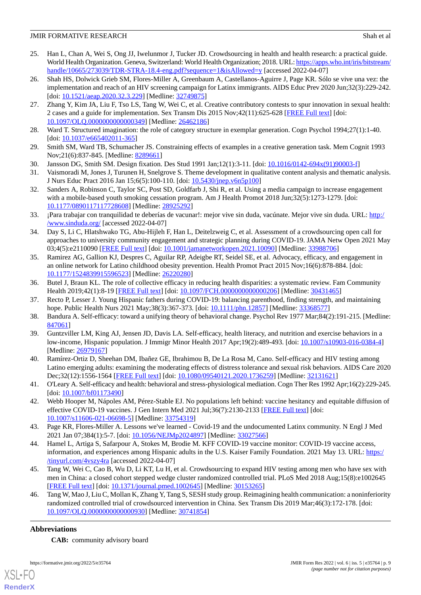# **JMIR FORMATIVE RESEARCH** Shah et al. **Shah et al.** Shah et al.

- <span id="page-8-0"></span>25. Han L, Chan A, Wei S, Ong JJ, Iwelunmor J, Tucker JD. Crowdsourcing in health and health research: a practical guide. World Health Organization. Geneva, Switzerland: World Health Organization; 2018. URL: [https://apps.who.int/iris/bitstream/](https://apps.who.int/iris/bitstream/handle/10665/273039/TDR-STRA-18.4-eng.pdf?sequence=1&isAllowed=y) [handle/10665/273039/TDR-STRA-18.4-eng.pdf?sequence=1&isAllowed=y](https://apps.who.int/iris/bitstream/handle/10665/273039/TDR-STRA-18.4-eng.pdf?sequence=1&isAllowed=y) [accessed 2022-04-07]
- <span id="page-8-1"></span>26. Shah HS, Dolwick Grieb SM, Flores-Miller A, Greenbaum A, Castellanos-Aguirre J, Page KR. Sólo se vive una vez: the implementation and reach of an HIV screening campaign for Latinx immigrants. AIDS Educ Prev 2020 Jun;32(3):229-242. [doi: [10.1521/aeap.2020.32.3.229\]](http://dx.doi.org/10.1521/aeap.2020.32.3.229) [Medline: [32749875](http://www.ncbi.nlm.nih.gov/entrez/query.fcgi?cmd=Retrieve&db=PubMed&list_uids=32749875&dopt=Abstract)]
- <span id="page-8-2"></span>27. Zhang Y, Kim JA, Liu F, Tso LS, Tang W, Wei C, et al. Creative contributory contests to spur innovation in sexual health: 2 cases and a guide for implementation. Sex Transm Dis 2015 Nov;42(11):625-628 [[FREE Full text\]](http://europepmc.org/abstract/MED/26462186) [doi: [10.1097/OLQ.0000000000000349\]](http://dx.doi.org/10.1097/OLQ.0000000000000349) [Medline: [26462186\]](http://www.ncbi.nlm.nih.gov/entrez/query.fcgi?cmd=Retrieve&db=PubMed&list_uids=26462186&dopt=Abstract)
- <span id="page-8-3"></span>28. Ward T. Structured imagination: the role of category structure in exemplar generation. Cogn Psychol 1994;27(1):1-40. [doi: [10.1037/e665402011-365\]](http://dx.doi.org/10.1037/e665402011-365)
- <span id="page-8-4"></span>29. Smith SM, Ward TB, Schumacher JS. Constraining effects of examples in a creative generation task. Mem Cognit 1993 Nov;21(6):837-845. [Medline: [8289661](http://www.ncbi.nlm.nih.gov/entrez/query.fcgi?cmd=Retrieve&db=PubMed&list_uids=8289661&dopt=Abstract)]
- <span id="page-8-5"></span>30. Jansson DG, Smith SM. Design fixation. Des Stud 1991 Jan;12(1):3-11. [doi: [10.1016/0142-694x\(91\)90003-f\]](http://dx.doi.org/10.1016/0142-694x(91)90003-f)
- <span id="page-8-6"></span>31. Vaismoradi M, Jones J, Turunen H, Snelgrove S. Theme development in qualitative content analysis and thematic analysis. J Nurs Educ Pract 2016 Jan 15;6(5):100-110. [doi: [10.5430/jnep.v6n5p100](http://dx.doi.org/10.5430/jnep.v6n5p100)]
- <span id="page-8-7"></span>32. Sanders A, Robinson C, Taylor SC, Post SD, Goldfarb J, Shi R, et al. Using a media campaign to increase engagement with a mobile-based youth smoking cessation program. Am J Health Promot 2018 Jun;32(5):1273-1279. [doi: [10.1177/0890117117728608\]](http://dx.doi.org/10.1177/0890117117728608) [Medline: [28925292\]](http://www.ncbi.nlm.nih.gov/entrez/query.fcgi?cmd=Retrieve&db=PubMed&list_uids=28925292&dopt=Abstract)
- <span id="page-8-8"></span>33. ¡Para trabajar con tranquilidad te deberías de vacunar!: mejor vive sin duda, vacúnate. Mejor vive sin duda. URL: [http:/](http://www.sinduda.org/) [/www.sinduda.org/](http://www.sinduda.org/) [accessed 2022-04-07]
- <span id="page-8-9"></span>34. Day S, Li C, Hlatshwako TG, Abu-Hijleh F, Han L, Deitelzweig C, et al. Assessment of a crowdsourcing open call for approaches to university community engagement and strategic planning during COVID-19. JAMA Netw Open 2021 May 03;4(5):e2110090 [\[FREE Full text](https://jamanetwork.com/journals/jamanetworkopen/fullarticle/10.1001/jamanetworkopen.2021.10090)] [doi: [10.1001/jamanetworkopen.2021.10090](http://dx.doi.org/10.1001/jamanetworkopen.2021.10090)] [Medline: [33988706](http://www.ncbi.nlm.nih.gov/entrez/query.fcgi?cmd=Retrieve&db=PubMed&list_uids=33988706&dopt=Abstract)]
- <span id="page-8-10"></span>35. Ramirez AG, Gallion KJ, Despres C, Aguilar RP, Adeigbe RT, Seidel SE, et al. Advocacy, efficacy, and engagement in an online network for Latino childhood obesity prevention. Health Promot Pract 2015 Nov;16(6):878-884. [doi: [10.1177/1524839915596523\]](http://dx.doi.org/10.1177/1524839915596523) [Medline: [26220280\]](http://www.ncbi.nlm.nih.gov/entrez/query.fcgi?cmd=Retrieve&db=PubMed&list_uids=26220280&dopt=Abstract)
- <span id="page-8-12"></span><span id="page-8-11"></span>36. Butel J, Braun KL. The role of collective efficacy in reducing health disparities: a systematic review. Fam Community Health 2019;42(1):8-19 [\[FREE Full text\]](http://europepmc.org/abstract/MED/30431465) [doi: [10.1097/FCH.0000000000000206\]](http://dx.doi.org/10.1097/FCH.0000000000000206) [Medline: [30431465\]](http://www.ncbi.nlm.nih.gov/entrez/query.fcgi?cmd=Retrieve&db=PubMed&list_uids=30431465&dopt=Abstract)
- <span id="page-8-13"></span>37. Recto P, Lesser J. Young Hispanic fathers during COVID-19: balancing parenthood, finding strength, and maintaining hope. Public Health Nurs 2021 May; 38(3): 367-373. [doi: [10.1111/phn.12857\]](http://dx.doi.org/10.1111/phn.12857) [Medline: [33368577](http://www.ncbi.nlm.nih.gov/entrez/query.fcgi?cmd=Retrieve&db=PubMed&list_uids=33368577&dopt=Abstract)]
- 38. Bandura A. Self-efficacy: toward a unifying theory of behavioral change. Psychol Rev 1977 Mar;84(2):191-215. [Medline: [847061](http://www.ncbi.nlm.nih.gov/entrez/query.fcgi?cmd=Retrieve&db=PubMed&list_uids=847061&dopt=Abstract)]
- 39. Guntzviller LM, King AJ, Jensen JD, Davis LA. Self-efficacy, health literacy, and nutrition and exercise behaviors in a low-income, Hispanic population. J Immigr Minor Health 2017 Apr;19(2):489-493. [doi: [10.1007/s10903-016-0384-4\]](http://dx.doi.org/10.1007/s10903-016-0384-4) [Medline: [26979167](http://www.ncbi.nlm.nih.gov/entrez/query.fcgi?cmd=Retrieve&db=PubMed&list_uids=26979167&dopt=Abstract)]
- <span id="page-8-15"></span><span id="page-8-14"></span>40. Ramírez-Ortiz D, Sheehan DM, Ibañez GE, Ibrahimou B, De La Rosa M, Cano. Self-efficacy and HIV testing among Latino emerging adults: examining the moderating effects of distress tolerance and sexual risk behaviors. AIDS Care 2020 Dec;32(12):1556-1564 [\[FREE Full text](http://europepmc.org/abstract/MED/32131621)] [doi: [10.1080/09540121.2020.1736259\]](http://dx.doi.org/10.1080/09540121.2020.1736259) [Medline: [32131621\]](http://www.ncbi.nlm.nih.gov/entrez/query.fcgi?cmd=Retrieve&db=PubMed&list_uids=32131621&dopt=Abstract)
- 41. O'Leary A. Self-efficacy and health: behavioral and stress-physiological mediation. Cogn Ther Res 1992 Apr;16(2):229-245. [doi: [10.1007/bf01173490\]](http://dx.doi.org/10.1007/bf01173490)
- <span id="page-8-16"></span>42. Webb Hooper M, Nápoles AM, Pérez-Stable EJ. No populations left behind: vaccine hesitancy and equitable diffusion of effective COVID-19 vaccines. J Gen Intern Med 2021 Jul;36(7):2130-2133 [[FREE Full text](http://europepmc.org/abstract/MED/33754319)] [doi: [10.1007/s11606-021-06698-5\]](http://dx.doi.org/10.1007/s11606-021-06698-5) [Medline: [33754319\]](http://www.ncbi.nlm.nih.gov/entrez/query.fcgi?cmd=Retrieve&db=PubMed&list_uids=33754319&dopt=Abstract)
- <span id="page-8-17"></span>43. Page KR, Flores-Miller A. Lessons we've learned - Covid-19 and the undocumented Latinx community. N Engl J Med 2021 Jan 07;384(1):5-7. [doi: [10.1056/NEJMp2024897](http://dx.doi.org/10.1056/NEJMp2024897)] [Medline: [33027566\]](http://www.ncbi.nlm.nih.gov/entrez/query.fcgi?cmd=Retrieve&db=PubMed&list_uids=33027566&dopt=Abstract)
- <span id="page-8-18"></span>44. Hamel L, Artiga S, Safarpour A, Stokes M, Brodie M. KFF COVID-19 vaccine monitor: COVID-19 vaccine access, information, and experiences among Hispanic adults in the U.S. Kaiser Family Foundation. 2021 May 13. URL: [https:/](https://www.kff.org/coronavirus-covid-19/poll-finding/kff-covid-19-vaccine-monitor-access-information-experiences-hispanic-adults/) [/tinyurl.com/4vszy4ra](https://www.kff.org/coronavirus-covid-19/poll-finding/kff-covid-19-vaccine-monitor-access-information-experiences-hispanic-adults/) [accessed 2022-04-07]
- 45. Tang W, Wei C, Cao B, Wu D, Li KT, Lu H, et al. Crowdsourcing to expand HIV testing among men who have sex with men in China: a closed cohort stepped wedge cluster randomized controlled trial. PLoS Med 2018 Aug;15(8):e1002645 [[FREE Full text](https://dx.plos.org/10.1371/journal.pmed.1002645)] [doi: [10.1371/journal.pmed.1002645](http://dx.doi.org/10.1371/journal.pmed.1002645)] [Medline: [30153265](http://www.ncbi.nlm.nih.gov/entrez/query.fcgi?cmd=Retrieve&db=PubMed&list_uids=30153265&dopt=Abstract)]
- 46. Tang W, Mao J, Liu C, Mollan K, Zhang Y, Tang S, SESH study group. Reimagining health communication: a noninferiority randomized controlled trial of crowdsourced intervention in China. Sex Transm Dis 2019 Mar;46(3):172-178. [doi: [10.1097/OLQ.0000000000000930\]](http://dx.doi.org/10.1097/OLQ.0000000000000930) [Medline: [30741854\]](http://www.ncbi.nlm.nih.gov/entrez/query.fcgi?cmd=Retrieve&db=PubMed&list_uids=30741854&dopt=Abstract)

# **Abbreviations**

**CAB:** community advisory board

[XSL](http://www.w3.org/Style/XSL)•FO **[RenderX](http://www.renderx.com/)**